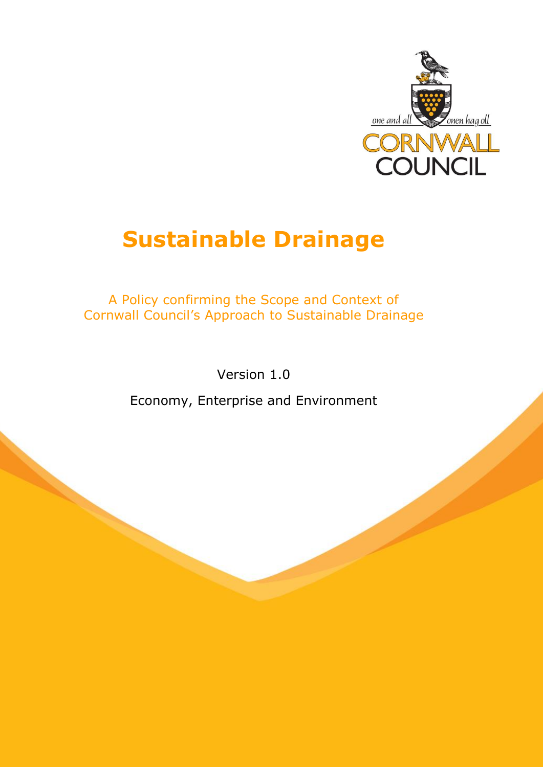

# **Sustainable Drainage**

A Policy confirming the Scope and Context of Cornwall Council's Approach to Sustainable Drainage

Version 1.0

Economy, Enterprise and Environment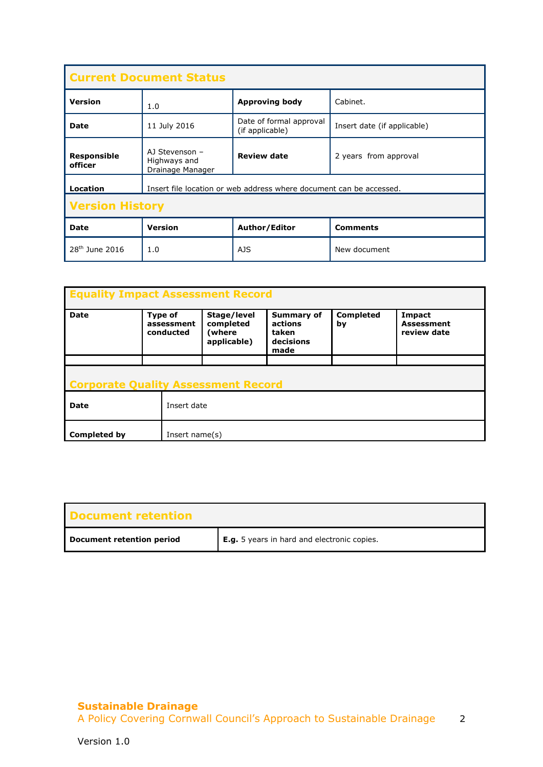| <b>Current Document Status</b> |                                                                     |                                            |                             |  |  |  |  |
|--------------------------------|---------------------------------------------------------------------|--------------------------------------------|-----------------------------|--|--|--|--|
| <b>Version</b>                 | <b>Approving body</b><br>Cabinet.<br>1.0                            |                                            |                             |  |  |  |  |
| <b>Date</b>                    | 11 July 2016                                                        | Date of formal approval<br>(if applicable) | Insert date (if applicable) |  |  |  |  |
| <b>Responsible</b><br>officer  | AJ Stevenson -<br>Highways and<br>Drainage Manager                  | <b>Review date</b>                         | 2 years from approval       |  |  |  |  |
| Location                       | Insert file location or web address where document can be accessed. |                                            |                             |  |  |  |  |
| <b>Version History</b>         |                                                                     |                                            |                             |  |  |  |  |
| Date                           | <b>Version</b>                                                      | Author/Editor                              | <b>Comments</b>             |  |  |  |  |
| 28 <sup>th</sup> June 2016     | 1.0                                                                 | AJS                                        | New document                |  |  |  |  |

| <b>Equality Impact Assessment Record</b>   |                                           |                   |                                                   |                                                            |                        |                                            |  |
|--------------------------------------------|-------------------------------------------|-------------------|---------------------------------------------------|------------------------------------------------------------|------------------------|--------------------------------------------|--|
| <b>Date</b>                                | <b>Type of</b><br>assessment<br>conducted |                   | Stage/level<br>completed<br>(where<br>applicable) | <b>Summary of</b><br>actions<br>taken<br>decisions<br>made | <b>Completed</b><br>by | Impact<br><b>Assessment</b><br>review date |  |
|                                            |                                           |                   |                                                   |                                                            |                        |                                            |  |
| <b>Corporate Quality Assessment Record</b> |                                           |                   |                                                   |                                                            |                        |                                            |  |
| <b>Date</b>                                |                                           | Insert date       |                                                   |                                                            |                        |                                            |  |
| <b>Completed by</b>                        |                                           | Insert name $(s)$ |                                                   |                                                            |                        |                                            |  |

| Document retention        |                                                    |
|---------------------------|----------------------------------------------------|
| Document retention period | <b>E.g.</b> 5 years in hard and electronic copies. |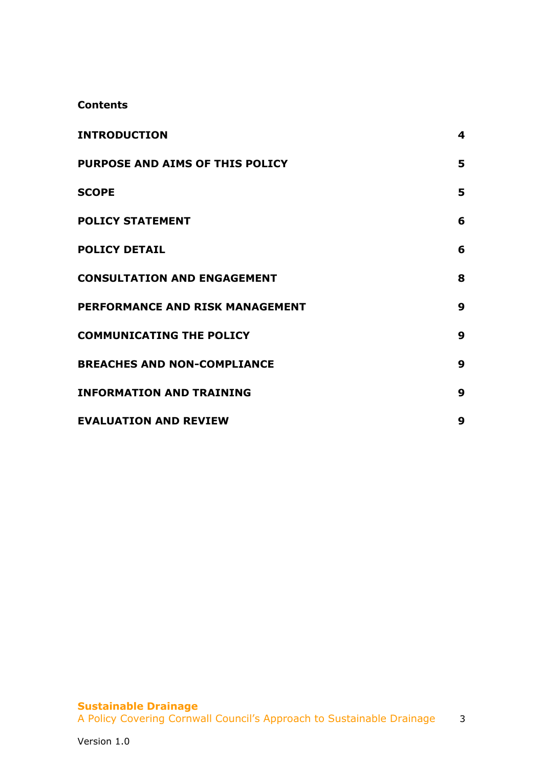#### **Contents**

| <b>INTRODUCTION</b>                | 4 |
|------------------------------------|---|
| PURPOSE AND AIMS OF THIS POLICY    | 5 |
| <b>SCOPE</b>                       | 5 |
| <b>POLICY STATEMENT</b>            | 6 |
| <b>POLICY DETAIL</b>               | 6 |
| <b>CONSULTATION AND ENGAGEMENT</b> | 8 |
| PERFORMANCE AND RISK MANAGEMENT    | 9 |
| <b>COMMUNICATING THE POLICY</b>    | 9 |
| <b>BREACHES AND NON-COMPLIANCE</b> | 9 |
| <b>INFORMATION AND TRAINING</b>    | 9 |
| <b>EVALUATION AND REVIEW</b>       | 9 |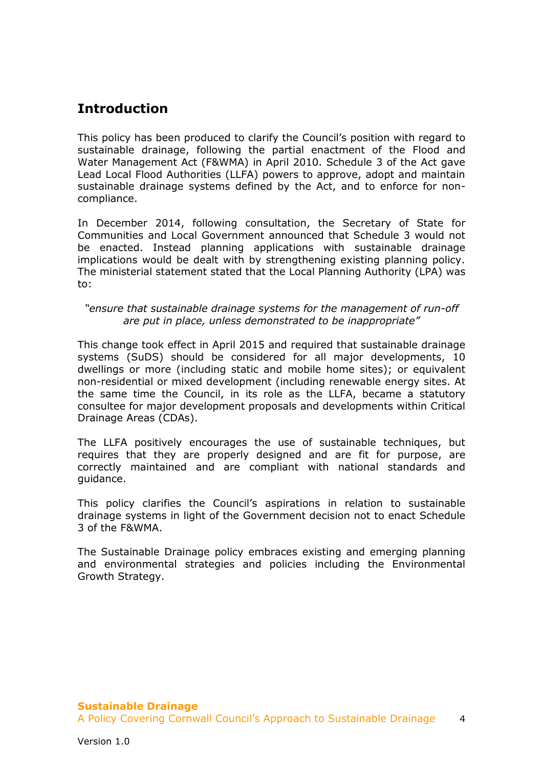## <span id="page-3-0"></span>**Introduction**

This policy has been produced to clarify the Council's position with regard to sustainable drainage, following the partial enactment of the Flood and Water Management Act (F&WMA) in April 2010. Schedule 3 of the Act gave Lead Local Flood Authorities (LLFA) powers to approve, adopt and maintain sustainable drainage systems defined by the Act, and to enforce for noncompliance.

In December 2014, following consultation, the Secretary of State for Communities and Local Government announced that Schedule 3 would not be enacted. Instead planning applications with sustainable drainage implications would be dealt with by strengthening existing planning policy. The ministerial statement stated that the Local Planning Authority (LPA) was to:

#### *"ensure that sustainable drainage systems for the management of run-off are put in place, unless demonstrated to be inappropriate"*

This change took effect in April 2015 and required that sustainable drainage systems (SuDS) should be considered for all major developments, 10 dwellings or more (including static and mobile home sites); or equivalent non-residential or mixed development (including renewable energy sites. At the same time the Council, in its role as the LLFA, became a statutory consultee for major development proposals and developments within Critical Drainage Areas (CDAs).

The LLFA positively encourages the use of sustainable techniques, but requires that they are properly designed and are fit for purpose, are correctly maintained and are compliant with national standards and guidance.

This policy clarifies the Council's aspirations in relation to sustainable drainage systems in light of the Government decision not to enact Schedule 3 of the F&WMA.

The Sustainable Drainage policy embraces existing and emerging planning and environmental strategies and policies including the Environmental Growth Strategy.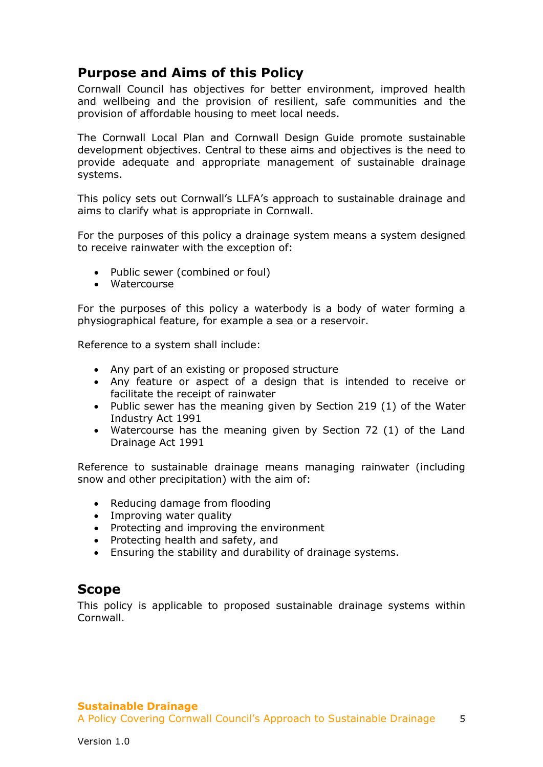## <span id="page-4-0"></span>**Purpose and Aims of this Policy**

Cornwall Council has objectives for better environment, improved health and wellbeing and the provision of resilient, safe communities and the provision of affordable housing to meet local needs.

The Cornwall Local Plan and Cornwall Design Guide promote sustainable development objectives. Central to these aims and objectives is the need to provide adequate and appropriate management of sustainable drainage systems.

This policy sets out Cornwall's LLFA's approach to sustainable drainage and aims to clarify what is appropriate in Cornwall.

For the purposes of this policy a drainage system means a system designed to receive rainwater with the exception of:

- Public sewer (combined or foul)
- Watercourse

For the purposes of this policy a waterbody is a body of water forming a physiographical feature, for example a sea or a reservoir.

Reference to a system shall include:

- Any part of an existing or proposed structure
- Any feature or aspect of a design that is intended to receive or facilitate the receipt of rainwater
- Public sewer has the meaning given by Section 219 (1) of the Water Industry Act 1991
- Watercourse has the meaning given by Section 72 (1) of the Land Drainage Act 1991

Reference to sustainable drainage means managing rainwater (including snow and other precipitation) with the aim of:

- Reducing damage from flooding
- Improving water quality
- Protecting and improving the environment
- Protecting health and safety, and
- Ensuring the stability and durability of drainage systems.

## <span id="page-4-1"></span>**Scope**

This policy is applicable to proposed sustainable drainage systems within Cornwall.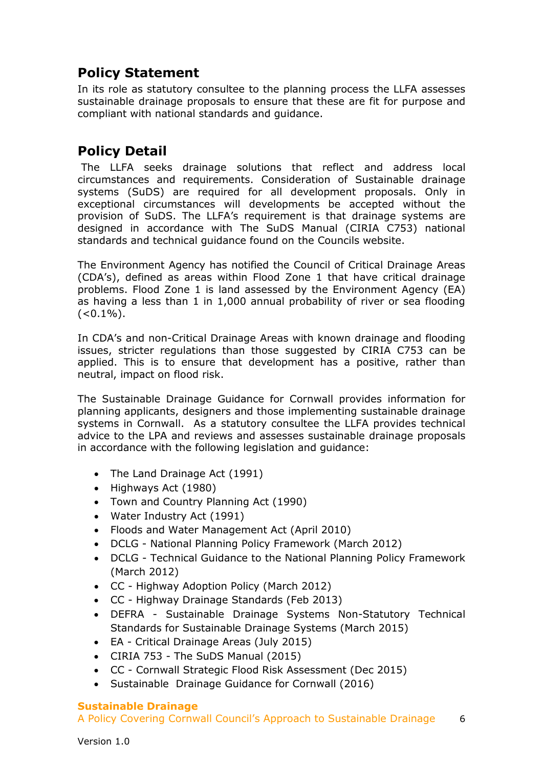# <span id="page-5-0"></span>**Policy Statement**

In its role as statutory consultee to the planning process the LLFA assesses sustainable drainage proposals to ensure that these are fit for purpose and compliant with national standards and guidance.

# <span id="page-5-1"></span>**Policy Detail**

The LLFA seeks drainage solutions that reflect and address local circumstances and requirements. Consideration of Sustainable drainage systems (SuDS) are required for all development proposals. Only in exceptional circumstances will developments be accepted without the provision of SuDS. The LLFA's requirement is that drainage systems are designed in accordance with The SuDS Manual (CIRIA C753) national standards and technical guidance found on the Councils website.

The Environment Agency has notified the Council of Critical Drainage Areas (CDA's), defined as areas within Flood Zone 1 that have critical drainage problems. Flood Zone 1 is land assessed by the Environment Agency (EA) as having a less than 1 in 1,000 annual probability of river or sea flooding  $(<0.1\%)$ .

In CDA's and non-Critical Drainage Areas with known drainage and flooding issues, stricter regulations than those suggested by CIRIA C753 can be applied. This is to ensure that development has a positive, rather than neutral, impact on flood risk.

The Sustainable Drainage Guidance for Cornwall provides information for planning applicants, designers and those implementing sustainable drainage systems in Cornwall. As a statutory consultee the LLFA provides technical advice to the LPA and reviews and assesses sustainable drainage proposals in accordance with the following legislation and guidance:

- The Land Drainage Act (1991)
- Highways Act (1980)
- Town and Country Planning Act (1990)
- Water Industry Act (1991)
- Floods and Water Management Act (April 2010)
- DCLG National Planning Policy Framework (March 2012)
- DCLG Technical Guidance to the National Planning Policy Framework (March 2012)
- CC Highway Adoption Policy (March 2012)
- CC Highway Drainage Standards (Feb 2013)
- DEFRA Sustainable Drainage Systems Non-Statutory Technical Standards for Sustainable Drainage Systems (March 2015)
- EA Critical Drainage Areas (July 2015)
- CIRIA 753 The SuDS Manual (2015)
- CC Cornwall Strategic Flood Risk Assessment (Dec 2015)
- Sustainable Drainage Guidance for Cornwall (2016)

#### **Sustainable Drainage**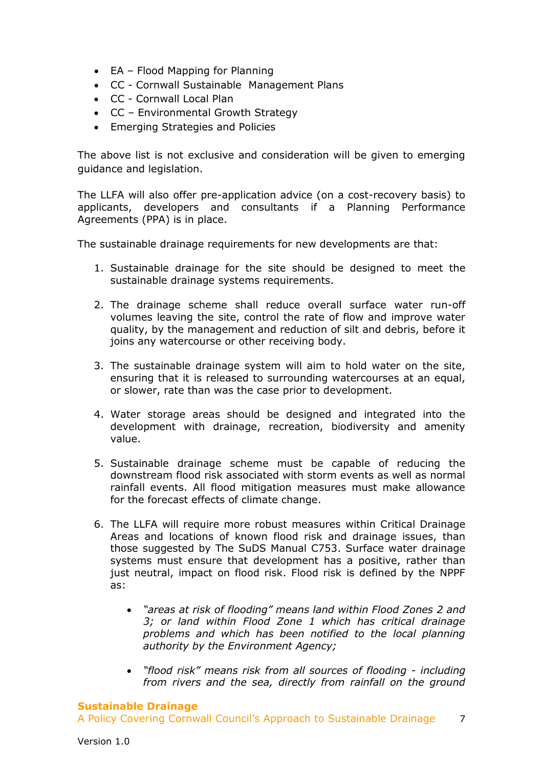- EA Flood Mapping for Planning
- CC Cornwall Sustainable Management Plans
- CC Cornwall Local Plan
- CC Environmental Growth Strategy
- Emerging Strategies and Policies

The above list is not exclusive and consideration will be given to emerging guidance and legislation.

The LLFA will also offer pre-application advice (on a cost-recovery basis) to applicants, developers and consultants if a Planning Performance Agreements (PPA) is in place.

The sustainable drainage requirements for new developments are that:

- 1. Sustainable drainage for the site should be designed to meet the sustainable drainage systems requirements.
- 2. The drainage scheme shall reduce overall surface water run-off volumes leaving the site, control the rate of flow and improve water quality, by the management and reduction of silt and debris, before it joins any watercourse or other receiving body.
- 3. The sustainable drainage system will aim to hold water on the site, ensuring that it is released to surrounding watercourses at an equal, or slower, rate than was the case prior to development.
- 4. Water storage areas should be designed and integrated into the development with drainage, recreation, biodiversity and amenity value.
- 5. Sustainable drainage scheme must be capable of reducing the downstream flood risk associated with storm events as well as normal rainfall events. All flood mitigation measures must make allowance for the forecast effects of climate change.
- 6. The LLFA will require more robust measures within Critical Drainage Areas and locations of known flood risk and drainage issues, than those suggested by The SuDS Manual C753. Surface water drainage systems must ensure that development has a positive, rather than just neutral, impact on flood risk. Flood risk is defined by the NPPF as:
	- *"areas at risk of flooding" means land within Flood Zones 2 and 3; or land within Flood Zone 1 which has critical drainage problems and which has been notified to the local planning authority by the Environment Agency;*
	- *"flood risk" means risk from all sources of flooding including from rivers and the sea, directly from rainfall on the ground*

#### **Sustainable Drainage**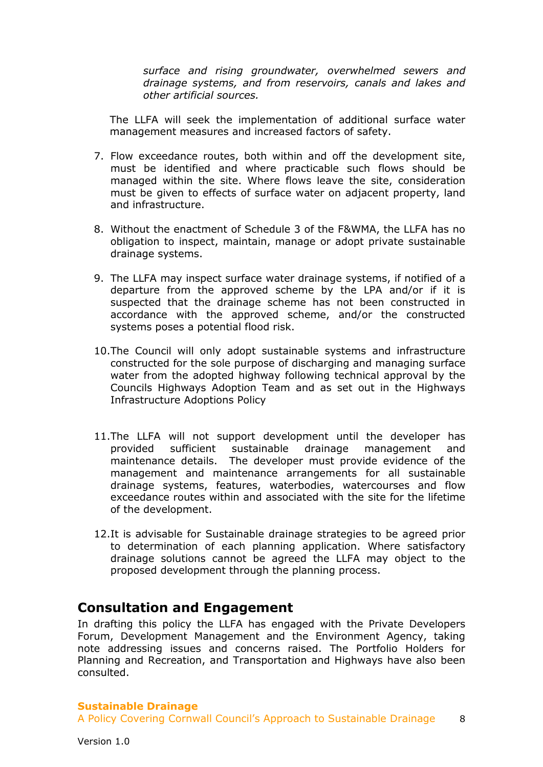*surface and rising groundwater, overwhelmed sewers and drainage systems, and from reservoirs, canals and lakes and other artificial sources.* 

The LLFA will seek the implementation of additional surface water management measures and increased factors of safety.

- 7. Flow exceedance routes, both within and off the development site, must be identified and where practicable such flows should be managed within the site. Where flows leave the site, consideration must be given to effects of surface water on adjacent property, land and infrastructure.
- 8. Without the enactment of Schedule 3 of the F&WMA, the LLFA has no obligation to inspect, maintain, manage or adopt private sustainable drainage systems.
- 9. The LLFA may inspect surface water drainage systems, if notified of a departure from the approved scheme by the LPA and/or if it is suspected that the drainage scheme has not been constructed in accordance with the approved scheme, and/or the constructed systems poses a potential flood risk.
- 10.The Council will only adopt sustainable systems and infrastructure constructed for the sole purpose of discharging and managing surface water from the adopted highway following technical approval by the Councils Highways Adoption Team and as set out in the Highways Infrastructure Adoptions Policy
- 11.The LLFA will not support development until the developer has provided sufficient sustainable drainage management and maintenance details. The developer must provide evidence of the management and maintenance arrangements for all sustainable drainage systems, features, waterbodies, watercourses and flow exceedance routes within and associated with the site for the lifetime of the development.
- 12.It is advisable for Sustainable drainage strategies to be agreed prior to determination of each planning application. Where satisfactory drainage solutions cannot be agreed the LLFA may object to the proposed development through the planning process.

## <span id="page-7-0"></span>**Consultation and Engagement**

In drafting this policy the LLFA has engaged with the Private Developers Forum, Development Management and the Environment Agency, taking note addressing issues and concerns raised. The Portfolio Holders for Planning and Recreation, and Transportation and Highways have also been consulted.

#### **Sustainable Drainage**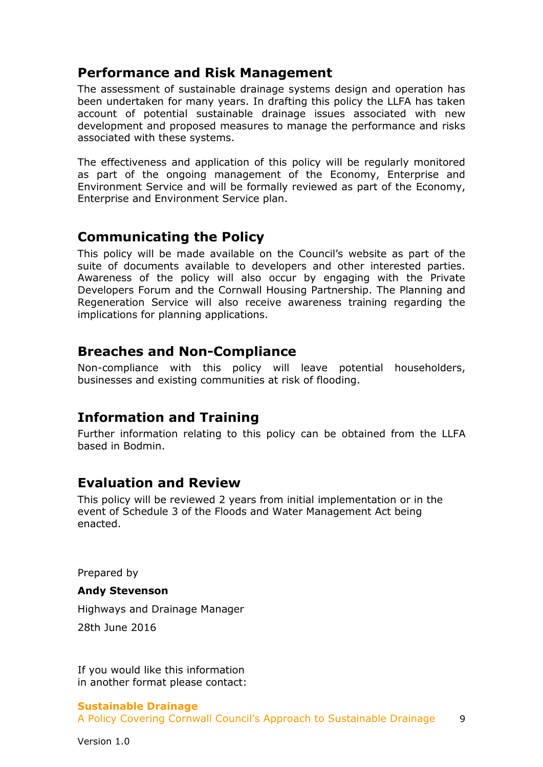## <span id="page-8-0"></span>**Performance and Risk Management**

The assessment of sustainable drainage systems design and operation has been undertaken for many years. In drafting this policy the LLFA has taken account of potential sustainable drainage issues associated with new development and proposed measures to manage the performance and risks associated with these systems.

The effectiveness and application of this policy will be regularly monitored as part of the ongoing management of the Economy, Enterprise and Environment Service and will be formally reviewed as part of the Economy, Enterprise and Environment Service plan.

## <span id="page-8-1"></span>**Communicating the Policy**

This policy will be made available on the Council's website as part of the suite of documents available to developers and other interested parties. Awareness of the policy will also occur by engaging with the Private Developers Forum and the Cornwall Housing Partnership. The Planning and Regeneration Service will also receive awareness training regarding the implications for planning applications.

## <span id="page-8-2"></span>**Breaches and Non-Compliance**

Non-compliance with this policy will leave potential householders, businesses and existing communities at risk of flooding.

## <span id="page-8-3"></span>**Information and Training**

Further information relating to this policy can be obtained from the LLFA based in Bodmin.

## <span id="page-8-4"></span>**Evaluation and Review**

This policy will be reviewed 2 years from initial implementation or in the event of Schedule 3 of the Floods and Water Management Act being enacted.

Prepared by

#### **Andy Stevenson**

Highways and Drainage Manager

28th June 2016

If you would like this information in another format please contact:

#### **Sustainable Drainage**